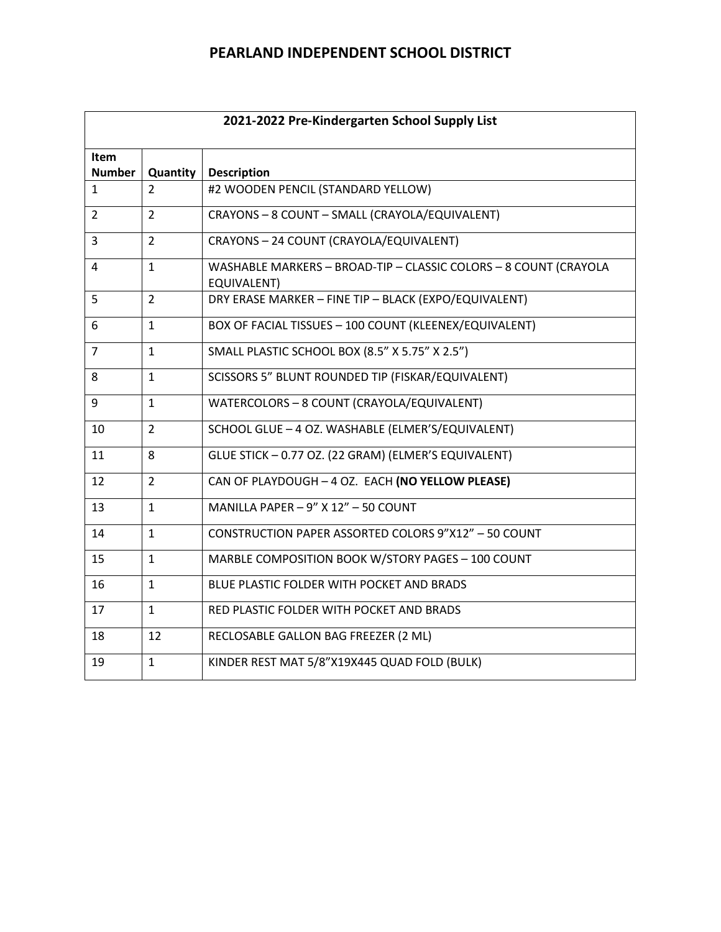| 2021-2022 Pre-Kindergarten School Supply List |                |                                                                                        |  |
|-----------------------------------------------|----------------|----------------------------------------------------------------------------------------|--|
| <b>Item</b><br><b>Number</b>                  | Quantity       | <b>Description</b>                                                                     |  |
| $\mathbf{1}$                                  | $\mathcal{P}$  | #2 WOODEN PENCIL (STANDARD YELLOW)                                                     |  |
| 2                                             | $\overline{2}$ | CRAYONS - 8 COUNT - SMALL (CRAYOLA/EQUIVALENT)                                         |  |
| 3                                             | $\overline{2}$ | CRAYONS - 24 COUNT (CRAYOLA/EQUIVALENT)                                                |  |
| 4                                             | $\mathbf{1}$   | WASHABLE MARKERS - BROAD-TIP - CLASSIC COLORS - 8 COUNT (CRAYOLA<br><b>EQUIVALENT)</b> |  |
| 5                                             | $\overline{2}$ | DRY ERASE MARKER - FINE TIP - BLACK (EXPO/EQUIVALENT)                                  |  |
| 6                                             | $\mathbf{1}$   | BOX OF FACIAL TISSUES - 100 COUNT (KLEENEX/EQUIVALENT)                                 |  |
| $\overline{7}$                                | $\mathbf{1}$   | SMALL PLASTIC SCHOOL BOX (8.5" X 5.75" X 2.5")                                         |  |
| 8                                             | $\mathbf{1}$   | SCISSORS 5" BLUNT ROUNDED TIP (FISKAR/EQUIVALENT)                                      |  |
| 9                                             | $\mathbf{1}$   | WATERCOLORS - 8 COUNT (CRAYOLA/EQUIVALENT)                                             |  |
| 10                                            | $\overline{2}$ | SCHOOL GLUE - 4 OZ. WASHABLE (ELMER'S/EQUIVALENT)                                      |  |
| 11                                            | 8              | GLUE STICK - 0.77 OZ. (22 GRAM) (ELMER'S EQUIVALENT)                                   |  |
| 12                                            | $\overline{2}$ | CAN OF PLAYDOUGH - 4 OZ. EACH (NO YELLOW PLEASE)                                       |  |
| 13                                            | $\mathbf{1}$   | MANILLA PAPER - 9" X 12" - 50 COUNT                                                    |  |
| 14                                            | $\mathbf{1}$   | CONSTRUCTION PAPER ASSORTED COLORS 9"X12" - 50 COUNT                                   |  |
| 15                                            | $\mathbf{1}$   | MARBLE COMPOSITION BOOK W/STORY PAGES - 100 COUNT                                      |  |
| 16                                            | $\mathbf{1}$   | BLUE PLASTIC FOLDER WITH POCKET AND BRADS                                              |  |
| 17                                            | $\mathbf{1}$   | RED PLASTIC FOLDER WITH POCKET AND BRADS                                               |  |
| 18                                            | 12             | RECLOSABLE GALLON BAG FREEZER (2 ML)                                                   |  |
| 19                                            | $\mathbf{1}$   | KINDER REST MAT 5/8"X19X445 QUAD FOLD (BULK)                                           |  |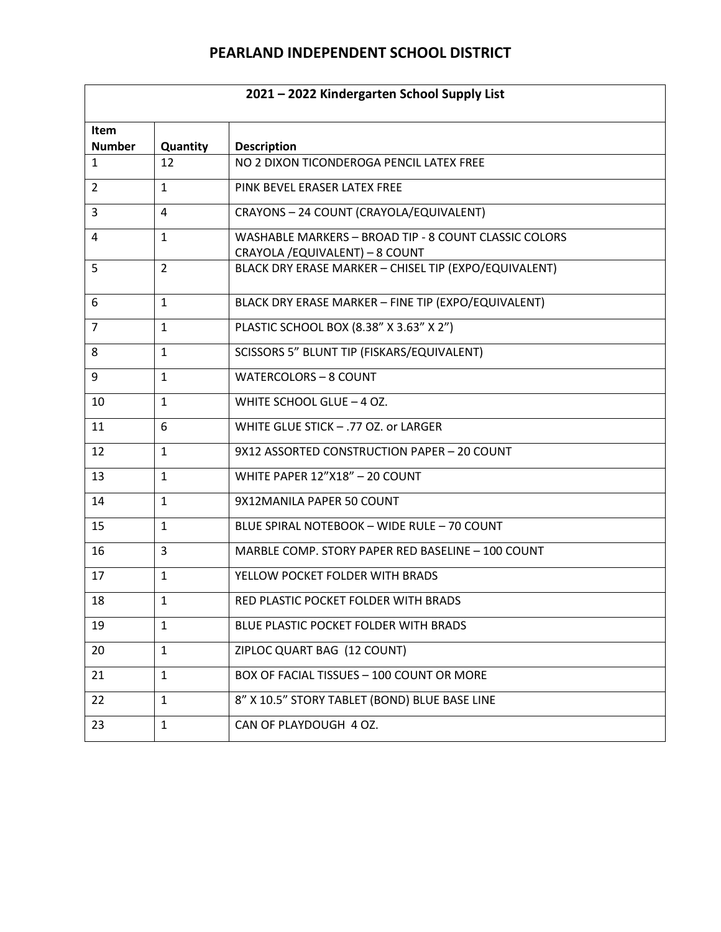| 2021 - 2022 Kindergarten School Supply List |                |                                                                                          |  |
|---------------------------------------------|----------------|------------------------------------------------------------------------------------------|--|
| Item<br><b>Number</b>                       | Quantity       | <b>Description</b>                                                                       |  |
| $\mathbf{1}$                                | 12             | NO 2 DIXON TICONDEROGA PENCIL LATEX FREE                                                 |  |
| 2                                           | $\mathbf{1}$   | PINK BEVEL ERASER LATEX FREE                                                             |  |
| 3                                           | 4              | CRAYONS - 24 COUNT (CRAYOLA/EQUIVALENT)                                                  |  |
| 4                                           | $\mathbf{1}$   | WASHABLE MARKERS - BROAD TIP - 8 COUNT CLASSIC COLORS<br>CRAYOLA / EQUIVALENT) - 8 COUNT |  |
| 5                                           | $\overline{2}$ | BLACK DRY ERASE MARKER - CHISEL TIP (EXPO/EQUIVALENT)                                    |  |
| 6                                           | $\mathbf{1}$   | BLACK DRY ERASE MARKER - FINE TIP (EXPO/EQUIVALENT)                                      |  |
| $\overline{7}$                              | $\mathbf{1}$   | PLASTIC SCHOOL BOX (8.38" X 3.63" X 2")                                                  |  |
| 8                                           | $\mathbf{1}$   | SCISSORS 5" BLUNT TIP (FISKARS/EQUIVALENT)                                               |  |
| 9                                           | $\mathbf{1}$   | <b>WATERCOLORS - 8 COUNT</b>                                                             |  |
| 10                                          | $\mathbf{1}$   | WHITE SCHOOL GLUE - 4 OZ.                                                                |  |
| 11                                          | 6              | WHITE GLUE STICK - .77 OZ. or LARGER                                                     |  |
| 12                                          | $\mathbf{1}$   | 9X12 ASSORTED CONSTRUCTION PAPER - 20 COUNT                                              |  |
| 13                                          | $\mathbf{1}$   | WHITE PAPER 12"X18" - 20 COUNT                                                           |  |
| 14                                          | $\mathbf{1}$   | 9X12MANILA PAPER 50 COUNT                                                                |  |
| 15                                          | $\mathbf{1}$   | BLUE SPIRAL NOTEBOOK - WIDE RULE - 70 COUNT                                              |  |
| 16                                          | 3              | MARBLE COMP. STORY PAPER RED BASELINE - 100 COUNT                                        |  |
| 17                                          | $\mathbf{1}$   | YELLOW POCKET FOLDER WITH BRADS                                                          |  |
| 18                                          | $\mathbf{1}$   | RED PLASTIC POCKET FOLDER WITH BRADS                                                     |  |
| 19                                          | 1              | BLUE PLASTIC POCKET FOLDER WITH BRADS                                                    |  |
| 20                                          | $\mathbf{1}$   | ZIPLOC QUART BAG (12 COUNT)                                                              |  |
| 21                                          | $\mathbf{1}$   | BOX OF FACIAL TISSUES - 100 COUNT OR MORE                                                |  |
| 22                                          | $\mathbf{1}$   | 8" X 10.5" STORY TABLET (BOND) BLUE BASE LINE                                            |  |
| 23                                          | $\mathbf{1}$   | CAN OF PLAYDOUGH 4 OZ.                                                                   |  |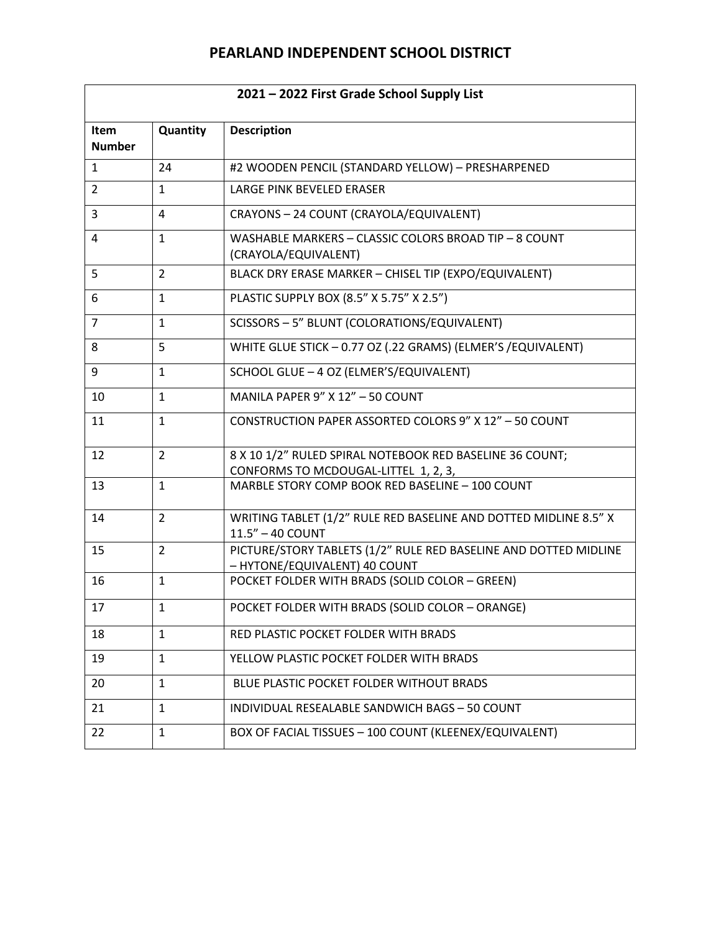| 2021 - 2022 First Grade School Supply List |                |                                                                                                   |  |
|--------------------------------------------|----------------|---------------------------------------------------------------------------------------------------|--|
| Item<br><b>Number</b>                      | Quantity       | <b>Description</b>                                                                                |  |
| $\mathbf{1}$                               | 24             | #2 WOODEN PENCIL (STANDARD YELLOW) - PRESHARPENED                                                 |  |
| $\overline{2}$                             | $\mathbf{1}$   | LARGE PINK BEVELED ERASER                                                                         |  |
| 3                                          | 4              | CRAYONS - 24 COUNT (CRAYOLA/EQUIVALENT)                                                           |  |
| 4                                          | $\mathbf{1}$   | WASHABLE MARKERS - CLASSIC COLORS BROAD TIP - 8 COUNT<br>(CRAYOLA/EQUIVALENT)                     |  |
| 5                                          | $\overline{2}$ | BLACK DRY ERASE MARKER - CHISEL TIP (EXPO/EQUIVALENT)                                             |  |
| 6                                          | $\mathbf{1}$   | PLASTIC SUPPLY BOX (8.5" X 5.75" X 2.5")                                                          |  |
| $\overline{7}$                             | $\mathbf{1}$   | SCISSORS - 5" BLUNT (COLORATIONS/EQUIVALENT)                                                      |  |
| 8                                          | 5              | WHITE GLUE STICK - 0.77 OZ (.22 GRAMS) (ELMER'S /EQUIVALENT)                                      |  |
| 9                                          | $\mathbf{1}$   | SCHOOL GLUE - 4 OZ (ELMER'S/EQUIVALENT)                                                           |  |
| 10                                         | $\mathbf{1}$   | MANILA PAPER 9" X 12" - 50 COUNT                                                                  |  |
| 11                                         | $\mathbf{1}$   | CONSTRUCTION PAPER ASSORTED COLORS 9" X 12" - 50 COUNT                                            |  |
| 12                                         | $\overline{2}$ | 8 X 10 1/2" RULED SPIRAL NOTEBOOK RED BASELINE 36 COUNT;                                          |  |
| 13                                         | $\mathbf{1}$   | CONFORMS TO MCDOUGAL-LITTEL 1, 2, 3,<br>MARBLE STORY COMP BOOK RED BASELINE - 100 COUNT           |  |
| 14                                         | $\overline{2}$ | WRITING TABLET (1/2" RULE RED BASELINE AND DOTTED MIDLINE 8.5" X<br>11.5" - 40 COUNT              |  |
| 15                                         | $\overline{2}$ | PICTURE/STORY TABLETS (1/2" RULE RED BASELINE AND DOTTED MIDLINE<br>- HYTONE/EQUIVALENT) 40 COUNT |  |
| 16                                         | $\mathbf{1}$   | POCKET FOLDER WITH BRADS (SOLID COLOR - GREEN)                                                    |  |
| 17                                         | $\mathbf{1}$   | POCKET FOLDER WITH BRADS (SOLID COLOR - ORANGE)                                                   |  |
| 18                                         | 1              | RED PLASTIC POCKET FOLDER WITH BRADS                                                              |  |
| 19                                         | $\mathbf{1}$   | YELLOW PLASTIC POCKET FOLDER WITH BRADS                                                           |  |
| 20                                         | $\mathbf{1}$   | BLUE PLASTIC POCKET FOLDER WITHOUT BRADS                                                          |  |
| 21                                         | $\mathbf{1}$   | INDIVIDUAL RESEALABLE SANDWICH BAGS - 50 COUNT                                                    |  |
| 22                                         | $\mathbf{1}$   | BOX OF FACIAL TISSUES - 100 COUNT (KLEENEX/EQUIVALENT)                                            |  |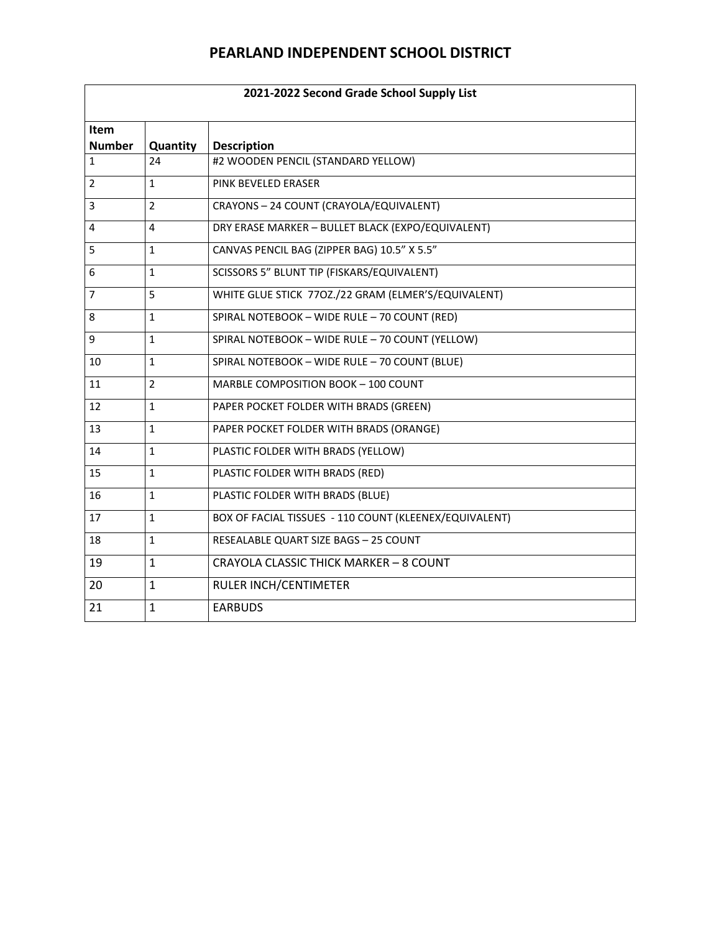| 2021-2022 Second Grade School Supply List |                |                                                        |  |
|-------------------------------------------|----------------|--------------------------------------------------------|--|
| Item<br><b>Number</b>                     | Quantity       | <b>Description</b>                                     |  |
| $\mathbf{1}$                              | 24             | #2 WOODEN PENCIL (STANDARD YELLOW)                     |  |
| 2                                         | 1              | PINK BEVELED ERASER                                    |  |
| 3                                         | $\overline{2}$ | CRAYONS - 24 COUNT (CRAYOLA/EQUIVALENT)                |  |
| 4                                         | 4              | DRY ERASE MARKER - BULLET BLACK (EXPO/EQUIVALENT)      |  |
| 5                                         | $\mathbf{1}$   | CANVAS PENCIL BAG (ZIPPER BAG) 10.5" X 5.5"            |  |
| 6                                         | $\mathbf{1}$   | SCISSORS 5" BLUNT TIP (FISKARS/EQUIVALENT)             |  |
| 7                                         | 5              | WHITE GLUE STICK 770Z./22 GRAM (ELMER'S/EQUIVALENT)    |  |
| 8                                         | $\mathbf{1}$   | SPIRAL NOTEBOOK - WIDE RULE - 70 COUNT (RED)           |  |
| 9                                         | $\mathbf{1}$   | SPIRAL NOTEBOOK - WIDE RULE - 70 COUNT (YELLOW)        |  |
| 10                                        | $\mathbf{1}$   | SPIRAL NOTEBOOK - WIDE RULE - 70 COUNT (BLUE)          |  |
| 11                                        | $\overline{2}$ | MARBLE COMPOSITION BOOK - 100 COUNT                    |  |
| 12                                        | $\mathbf{1}$   | PAPER POCKET FOLDER WITH BRADS (GREEN)                 |  |
| 13                                        | $\mathbf{1}$   | PAPER POCKET FOLDER WITH BRADS (ORANGE)                |  |
| 14                                        | $\mathbf{1}$   | PLASTIC FOLDER WITH BRADS (YELLOW)                     |  |
| 15                                        | $\mathbf{1}$   | PLASTIC FOLDER WITH BRADS (RED)                        |  |
| 16                                        | $\mathbf{1}$   | PLASTIC FOLDER WITH BRADS (BLUE)                       |  |
| 17                                        | 1              | BOX OF FACIAL TISSUES - 110 COUNT (KLEENEX/EQUIVALENT) |  |
| 18                                        | $\mathbf{1}$   | RESEALABLE QUART SIZE BAGS - 25 COUNT                  |  |
| 19                                        | $\mathbf{1}$   | CRAYOLA CLASSIC THICK MARKER - 8 COUNT                 |  |
| 20                                        | 1              | RULER INCH/CENTIMETER                                  |  |
| 21                                        | $\mathbf{1}$   | <b>EARBUDS</b>                                         |  |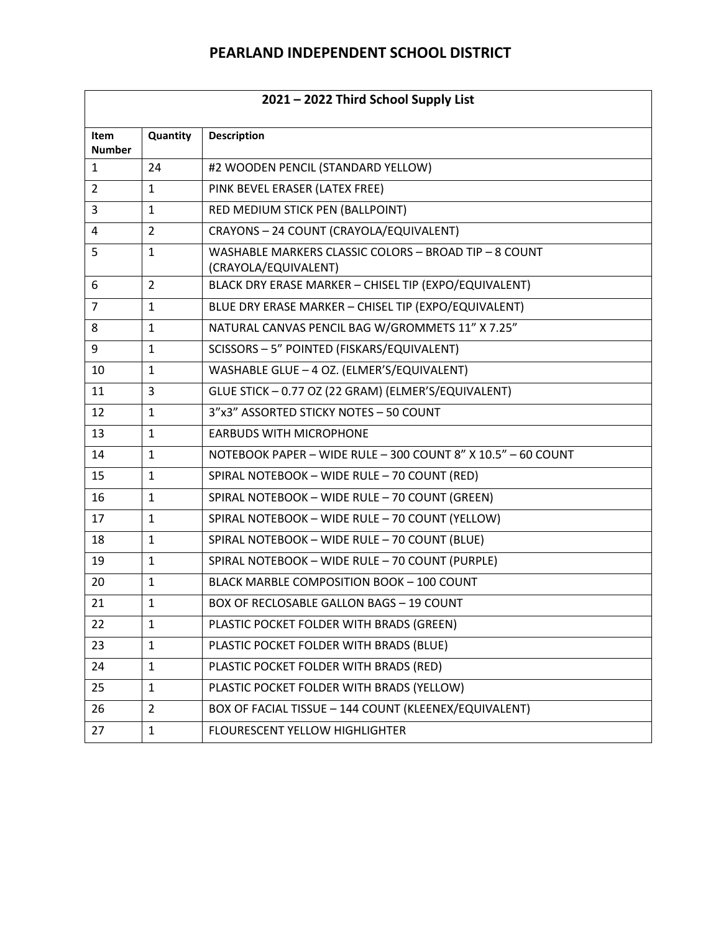| 2021 - 2022 Third School Supply List |                |                                                                               |  |
|--------------------------------------|----------------|-------------------------------------------------------------------------------|--|
| <b>Item</b><br><b>Number</b>         | Quantity       | <b>Description</b>                                                            |  |
| $\mathbf{1}$                         | 24             | #2 WOODEN PENCIL (STANDARD YELLOW)                                            |  |
| $\overline{2}$                       | $\mathbf{1}$   | PINK BEVEL ERASER (LATEX FREE)                                                |  |
| 3                                    | $\mathbf{1}$   | RED MEDIUM STICK PEN (BALLPOINT)                                              |  |
| 4                                    | $\overline{2}$ | CRAYONS - 24 COUNT (CRAYOLA/EQUIVALENT)                                       |  |
| 5                                    | $\mathbf{1}$   | WASHABLE MARKERS CLASSIC COLORS - BROAD TIP - 8 COUNT<br>(CRAYOLA/EQUIVALENT) |  |
| 6                                    | $\overline{2}$ | BLACK DRY ERASE MARKER - CHISEL TIP (EXPO/EQUIVALENT)                         |  |
| $\overline{7}$                       | $\mathbf{1}$   | BLUE DRY ERASE MARKER - CHISEL TIP (EXPO/EQUIVALENT)                          |  |
| 8                                    | $\mathbf{1}$   | NATURAL CANVAS PENCIL BAG W/GROMMETS 11" X 7.25"                              |  |
| 9                                    | $\mathbf{1}$   | SCISSORS - 5" POINTED (FISKARS/EQUIVALENT)                                    |  |
| 10                                   | $\mathbf{1}$   | WASHABLE GLUE - 4 OZ. (ELMER'S/EQUIVALENT)                                    |  |
| 11                                   | 3              | GLUE STICK - 0.77 OZ (22 GRAM) (ELMER'S/EQUIVALENT)                           |  |
| 12                                   | $\mathbf{1}$   | 3"x3" ASSORTED STICKY NOTES - 50 COUNT                                        |  |
| 13                                   | $\mathbf{1}$   | <b>EARBUDS WITH MICROPHONE</b>                                                |  |
| 14                                   | $\mathbf{1}$   | NOTEBOOK PAPER - WIDE RULE - 300 COUNT 8" X 10.5" - 60 COUNT                  |  |
| 15                                   | $\mathbf{1}$   | SPIRAL NOTEBOOK - WIDE RULE - 70 COUNT (RED)                                  |  |
| 16                                   | $\mathbf{1}$   | SPIRAL NOTEBOOK - WIDE RULE - 70 COUNT (GREEN)                                |  |
| 17                                   | $\mathbf{1}$   | SPIRAL NOTEBOOK - WIDE RULE - 70 COUNT (YELLOW)                               |  |
| 18                                   | $\mathbf{1}$   | SPIRAL NOTEBOOK - WIDE RULE - 70 COUNT (BLUE)                                 |  |
| 19                                   | $\mathbf{1}$   | SPIRAL NOTEBOOK - WIDE RULE - 70 COUNT (PURPLE)                               |  |
| 20                                   | $\mathbf{1}$   | <b>BLACK MARBLE COMPOSITION BOOK - 100 COUNT</b>                              |  |
| 21                                   | 1              | <b>BOX OF RECLOSABLE GALLON BAGS - 19 COUNT</b>                               |  |
| 22                                   | 1              | PLASTIC POCKET FOLDER WITH BRADS (GREEN)                                      |  |
| 23                                   | 1              | PLASTIC POCKET FOLDER WITH BRADS (BLUE)                                       |  |
| 24                                   | $\mathbf{1}$   | PLASTIC POCKET FOLDER WITH BRADS (RED)                                        |  |
| 25                                   | 1              | PLASTIC POCKET FOLDER WITH BRADS (YELLOW)                                     |  |
| 26                                   | $\overline{2}$ | BOX OF FACIAL TISSUE - 144 COUNT (KLEENEX/EQUIVALENT)                         |  |
| 27                                   | $\mathbf{1}$   | FLOURESCENT YELLOW HIGHLIGHTER                                                |  |